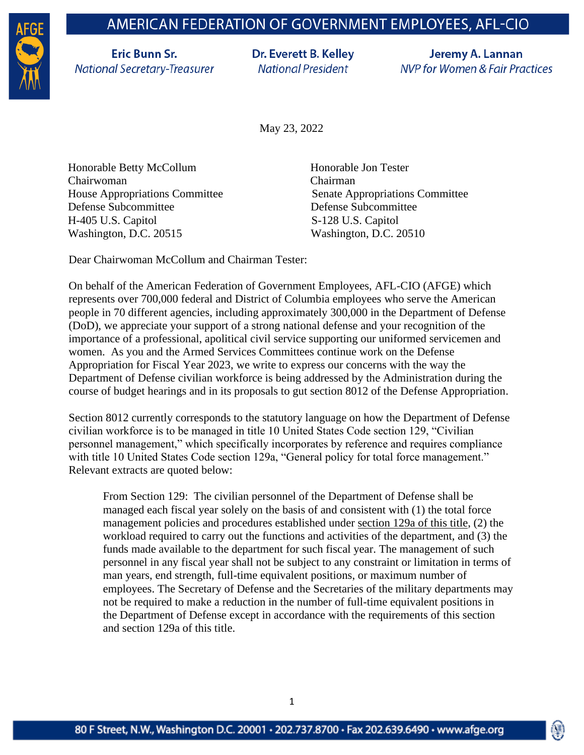## AMERICAN FEDERATION OF GOVERNMENT EMPLOYEES, AFL-CIO



**Eric Bunn Sr. National Secretary-Treasurer**  Dr. Everett B. Kelley **National President** 

Jeremy A. Lannan **NVP for Women & Fair Practices** 

May 23, 2022

Honorable Betty McCollum Honorable Jon Tester Chairwoman Chairman Defense Subcommittee Defense Subcommittee H-405 U.S. Capitol S-128 U.S. Capitol Washington, D.C. 20515 Washington, D.C. 20510

House Appropriations Committee Senate Appropriations Committee

Dear Chairwoman McCollum and Chairman Tester:

On behalf of the American Federation of Government Employees, AFL-CIO (AFGE) which represents over 700,000 federal and District of Columbia employees who serve the American people in 70 different agencies, including approximately 300,000 in the Department of Defense (DoD), we appreciate your support of a strong national defense and your recognition of the importance of a professional, apolitical civil service supporting our uniformed servicemen and women. As you and the Armed Services Committees continue work on the Defense Appropriation for Fiscal Year 2023, we write to express our concerns with the way the Department of Defense civilian workforce is being addressed by the Administration during the course of budget hearings and in its proposals to gut section 8012 of the Defense Appropriation.

Section 8012 currently corresponds to the statutory language on how the Department of Defense civilian workforce is to be managed in title 10 United States Code section 129, "Civilian personnel management," which specifically incorporates by reference and requires compliance with title 10 United States Code section 129a, "General policy for total force management." Relevant extracts are quoted below:

From Section 129: The civilian personnel of the Department of Defense shall be managed each fiscal year solely on the basis of and consistent with (1) the total force management policies and procedures established under [section](https://www.law.cornell.edu/uscode/text/10/129a) 129a of this title, (2) the workload required to carry out the functions and activities of the department, and (3) the funds made available to the department for such fiscal year. The management of such personnel in any fiscal year shall not be subject to any constraint or limitation in terms of man years, end strength, full-time equivalent positions, or maximum number of employees. The Secretary of Defense and the Secretaries of the military departments may not be required to make a reduction in the number of full-time equivalent positions in the Department of Defense except in accordance with the requirements of this section and section 129a of this title.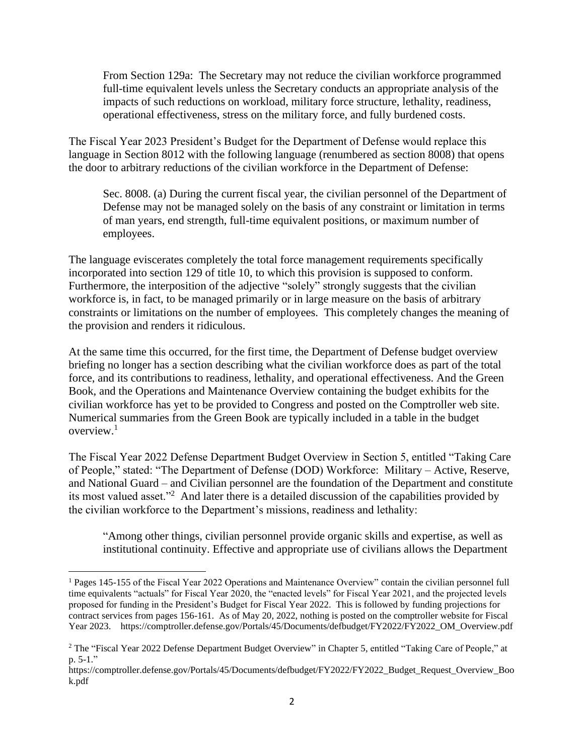From Section 129a: The Secretary may not reduce the civilian workforce programmed full-time equivalent levels unless the Secretary conducts an appropriate analysis of the impacts of such reductions on workload, military force structure, lethality, readiness, operational effectiveness, stress on the military force, and fully burdened costs.

The Fiscal Year 2023 President's Budget for the Department of Defense would replace this language in Section 8012 with the following language (renumbered as section 8008) that opens the door to arbitrary reductions of the civilian workforce in the Department of Defense:

Sec. 8008. (a) During the current fiscal year, the civilian personnel of the Department of Defense may not be managed solely on the basis of any constraint or limitation in terms of man years, end strength, full-time equivalent positions, or maximum number of employees.

The language eviscerates completely the total force management requirements specifically incorporated into section 129 of title 10, to which this provision is supposed to conform. Furthermore, the interposition of the adjective "solely" strongly suggests that the civilian workforce is, in fact, to be managed primarily or in large measure on the basis of arbitrary constraints or limitations on the number of employees. This completely changes the meaning of the provision and renders it ridiculous.

At the same time this occurred, for the first time, the Department of Defense budget overview briefing no longer has a section describing what the civilian workforce does as part of the total force, and its contributions to readiness, lethality, and operational effectiveness. And the Green Book, and the Operations and Maintenance Overview containing the budget exhibits for the civilian workforce has yet to be provided to Congress and posted on the Comptroller web site. Numerical summaries from the Green Book are typically included in a table in the budget overview.<sup>1</sup>

The Fiscal Year 2022 Defense Department Budget Overview in Section 5, entitled "Taking Care of People," stated: "The Department of Defense (DOD) Workforce: Military – Active, Reserve, and National Guard – and Civilian personnel are the foundation of the Department and constitute its most valued asset."<sup>2</sup> And later there is a detailed discussion of the capabilities provided by the civilian workforce to the Department's missions, readiness and lethality:

"Among other things, civilian personnel provide organic skills and expertise, as well as institutional continuity. Effective and appropriate use of civilians allows the Department

<sup>&</sup>lt;sup>1</sup> Pages 145-155 of the Fiscal Year 2022 Operations and Maintenance Overview" contain the civilian personnel full time equivalents "actuals" for Fiscal Year 2020, the "enacted levels" for Fiscal Year 2021, and the projected levels proposed for funding in the President's Budget for Fiscal Year 2022. This is followed by funding projections for contract services from pages 156-161. As of May 20, 2022, nothing is posted on the comptroller website for Fiscal Year 2023. https://comptroller.defense.gov/Portals/45/Documents/defbudget/FY2022/FY2022\_OM\_Overview.pdf

<sup>&</sup>lt;sup>2</sup> The "Fiscal Year 2022 Defense Department Budget Overview" in Chapter 5, entitled "Taking Care of People," at p. 5-1."

https://comptroller.defense.gov/Portals/45/Documents/defbudget/FY2022/FY2022\_Budget\_Request\_Overview\_Boo k.pdf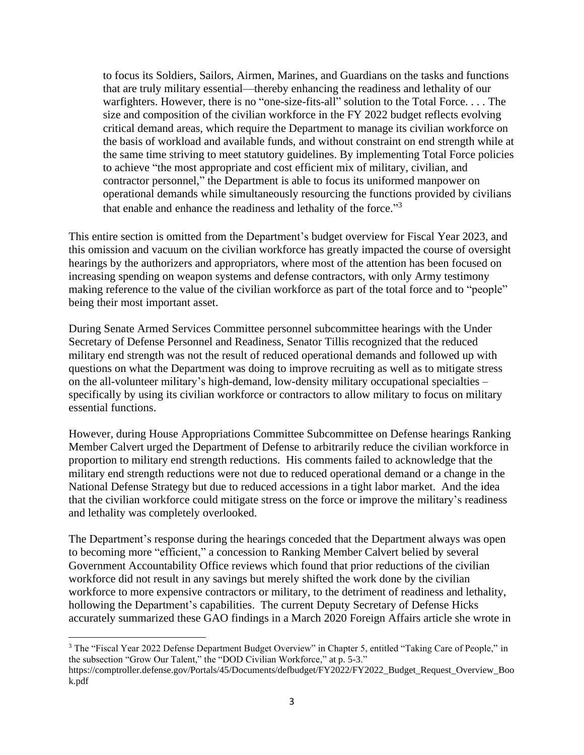to focus its Soldiers, Sailors, Airmen, Marines, and Guardians on the tasks and functions that are truly military essential—thereby enhancing the readiness and lethality of our warfighters. However, there is no "one-size-fits-all" solution to the Total Force. . . . The size and composition of the civilian workforce in the FY 2022 budget reflects evolving critical demand areas, which require the Department to manage its civilian workforce on the basis of workload and available funds, and without constraint on end strength while at the same time striving to meet statutory guidelines. By implementing Total Force policies to achieve "the most appropriate and cost efficient mix of military, civilian, and contractor personnel," the Department is able to focus its uniformed manpower on operational demands while simultaneously resourcing the functions provided by civilians that enable and enhance the readiness and lethality of the force."<sup>3</sup>

This entire section is omitted from the Department's budget overview for Fiscal Year 2023, and this omission and vacuum on the civilian workforce has greatly impacted the course of oversight hearings by the authorizers and appropriators, where most of the attention has been focused on increasing spending on weapon systems and defense contractors, with only Army testimony making reference to the value of the civilian workforce as part of the total force and to "people" being their most important asset.

During Senate Armed Services Committee personnel subcommittee hearings with the Under Secretary of Defense Personnel and Readiness, Senator Tillis recognized that the reduced military end strength was not the result of reduced operational demands and followed up with questions on what the Department was doing to improve recruiting as well as to mitigate stress on the all-volunteer military's high-demand, low-density military occupational specialties – specifically by using its civilian workforce or contractors to allow military to focus on military essential functions.

However, during House Appropriations Committee Subcommittee on Defense hearings Ranking Member Calvert urged the Department of Defense to arbitrarily reduce the civilian workforce in proportion to military end strength reductions. His comments failed to acknowledge that the military end strength reductions were not due to reduced operational demand or a change in the National Defense Strategy but due to reduced accessions in a tight labor market. And the idea that the civilian workforce could mitigate stress on the force or improve the military's readiness and lethality was completely overlooked.

The Department's response during the hearings conceded that the Department always was open to becoming more "efficient," a concession to Ranking Member Calvert belied by several Government Accountability Office reviews which found that prior reductions of the civilian workforce did not result in any savings but merely shifted the work done by the civilian workforce to more expensive contractors or military, to the detriment of readiness and lethality, hollowing the Department's capabilities. The current Deputy Secretary of Defense Hicks accurately summarized these GAO findings in a March 2020 Foreign Affairs article she wrote in

<sup>3</sup> The "Fiscal Year 2022 Defense Department Budget Overview" in Chapter 5, entitled "Taking Care of People," in the subsection "Grow Our Talent," the "DOD Civilian Workforce," at p. 5-3."

https://comptroller.defense.gov/Portals/45/Documents/defbudget/FY2022/FY2022\_Budget\_Request\_Overview\_Boo k.pdf